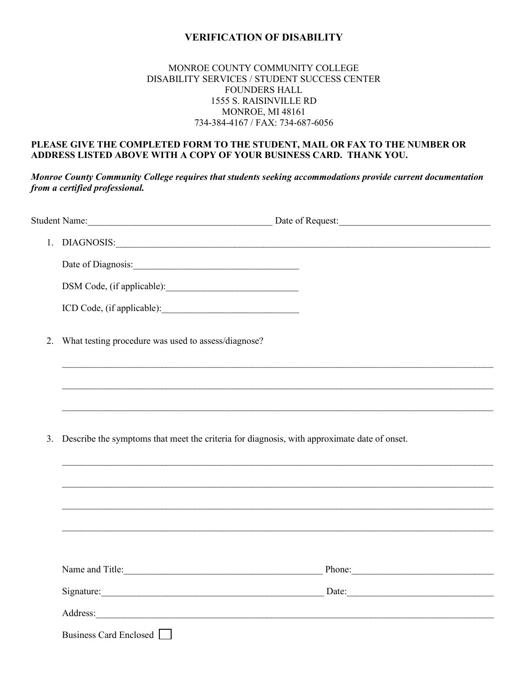## **VERIFICATION OF DISABILITY**

## MONROE COUNTY COMMUNITY COLLEGE DISABILITY SERVICES / STUDENT SUCCESS CENTER FOUNDERS HALL 1555 S. RAISINVILLE RD MONROE, MI 48161 734-384-4167 / FAX: 734-687-6056

## **PLEASE GIVE THE COMPLETED FORM TO THE STUDENT, MAIL OR FAX TO THE NUMBER OR ADDRESS LISTED ABOVE WITH A COPY OF YOUR BUSINESS CARD. THANK YOU.**

*Monroe County Community College requires that students seeking accommodations provide current documentation from a certified professional.*

|    |                                                                                                                                                                                                                                | 1. DIAGNOSIS: University of the contract of the contract of the contract of the contract of the contract of the contract of the contract of the contract of the contract of the contract of the contract of the contract of th |  |
|----|--------------------------------------------------------------------------------------------------------------------------------------------------------------------------------------------------------------------------------|--------------------------------------------------------------------------------------------------------------------------------------------------------------------------------------------------------------------------------|--|
|    |                                                                                                                                                                                                                                |                                                                                                                                                                                                                                |  |
|    |                                                                                                                                                                                                                                |                                                                                                                                                                                                                                |  |
|    |                                                                                                                                                                                                                                |                                                                                                                                                                                                                                |  |
| 2. | What testing procedure was used to assess/diagnose?                                                                                                                                                                            |                                                                                                                                                                                                                                |  |
|    |                                                                                                                                                                                                                                |                                                                                                                                                                                                                                |  |
|    |                                                                                                                                                                                                                                |                                                                                                                                                                                                                                |  |
| 3. | Describe the symptoms that meet the criteria for diagnosis, with approximate date of onset.                                                                                                                                    |                                                                                                                                                                                                                                |  |
|    |                                                                                                                                                                                                                                |                                                                                                                                                                                                                                |  |
|    |                                                                                                                                                                                                                                |                                                                                                                                                                                                                                |  |
|    |                                                                                                                                                                                                                                |                                                                                                                                                                                                                                |  |
|    | Name and Title:                                                                                                                                                                                                                | Phone:                                                                                                                                                                                                                         |  |
|    |                                                                                                                                                                                                                                |                                                                                                                                                                                                                                |  |
|    | Address: Note that the contract of the contract of the contract of the contract of the contract of the contract of the contract of the contract of the contract of the contract of the contract of the contract of the contrac |                                                                                                                                                                                                                                |  |
|    | Business Card Enclosed                                                                                                                                                                                                         |                                                                                                                                                                                                                                |  |